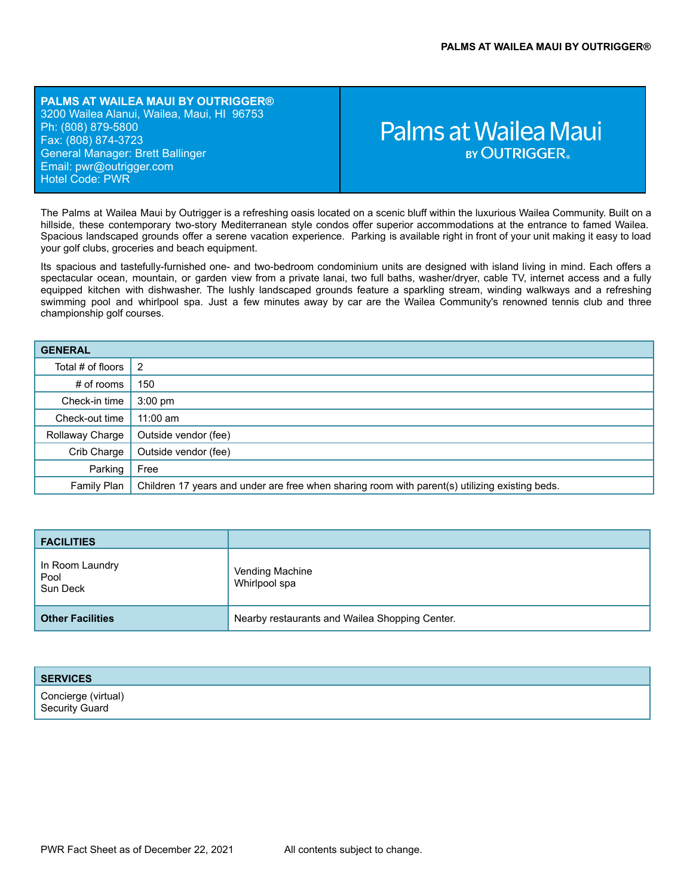**PALMS AT WAILEA MAUI BY OUTRIGGER®** 3200 Wailea Alanui, Wailea, Maui, HI 96753 Ph: (808) 879-5800 Fax: (808) 874-3723 General Manager: Brett Ballinger Email: pwr[@outrigger.com](mailto:orf@outrigger.com) Hotel Code: PWR

# Palms at Wailea Maui **BY OUTRIGGER**

The Palms at Wailea Maui by Outrigger is a refreshing oasis located on a scenic bluff within the luxurious Wailea Community. Built on a hillside, these contemporary two-story Mediterranean style condos offer superior accommodations at the entrance to famed Wailea. Spacious landscaped grounds offer a serene vacation experience. Parking is available right in front of your unit making it easy to load your golf clubs, groceries and beach equipment.

Its spacious and tastefully-furnished one- and two-bedroom condominium units are designed with island living in mind. Each offers a spectacular ocean, mountain, or garden view from a private lanai, two full baths, washer/dryer, cable TV, internet access and a fully equipped kitchen with dishwasher. The lushly landscaped grounds feature a sparkling stream, winding walkways and a refreshing swimming pool and whirlpool spa. Just a few minutes away by car are the Wailea Community's renowned tennis club and three championship golf courses.

| <b>GENERAL</b>              |                                                                                                |
|-----------------------------|------------------------------------------------------------------------------------------------|
| Total # of floors $\vert$ 2 |                                                                                                |
| $#$ of rooms                | 150                                                                                            |
| Check-in time               | $3:00$ pm                                                                                      |
| Check-out time              | $11:00$ am                                                                                     |
| Rollaway Charge             | Outside vendor (fee)                                                                           |
| Crib Charge                 | Outside vendor (fee)                                                                           |
| Parking                     | Free                                                                                           |
| Family Plan                 | Children 17 years and under are free when sharing room with parent(s) utilizing existing beds. |

| <b>FACILITIES</b>                   |                                                |
|-------------------------------------|------------------------------------------------|
| In Room Laundry<br>Pool<br>Sun Deck | Vending Machine<br>Whirlpool spa               |
| <b>Other Facilities</b>             | Nearby restaurants and Wailea Shopping Center. |

# **SERVICES** Concierge (virtual) Security Guard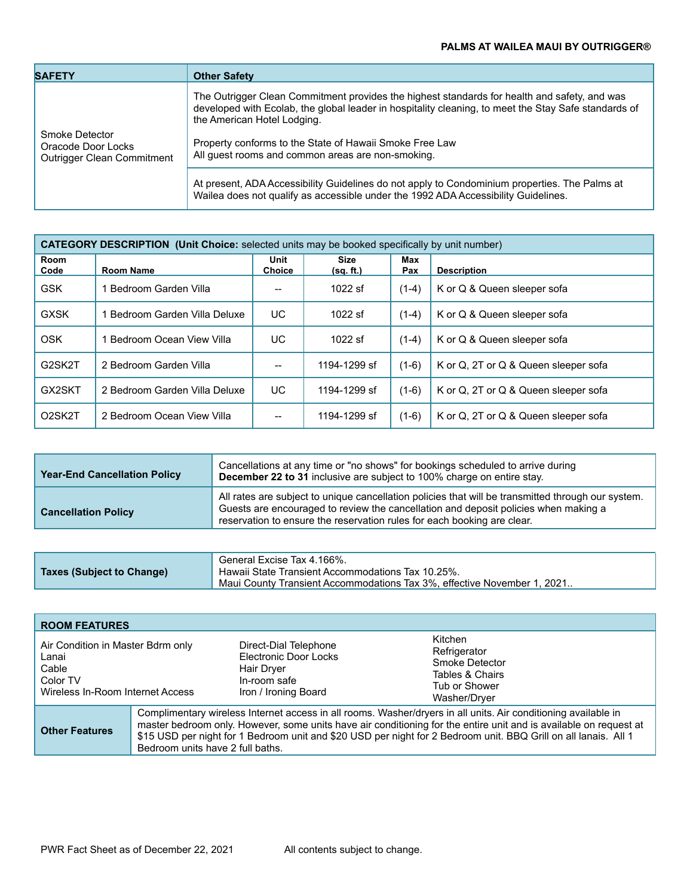| <b>SAFETY</b>                                           | <b>Other Safety</b>                                                                                                                                                                                                                 |
|---------------------------------------------------------|-------------------------------------------------------------------------------------------------------------------------------------------------------------------------------------------------------------------------------------|
| Smoke Detector                                          | The Outrigger Clean Commitment provides the highest standards for health and safety, and was<br>developed with Ecolab, the global leader in hospitality cleaning, to meet the Stay Safe standards of<br>the American Hotel Lodging. |
| Oracode Door Locks<br><b>Outrigger Clean Commitment</b> | Property conforms to the State of Hawaii Smoke Free Law<br>All quest rooms and common areas are non-smoking.                                                                                                                        |
|                                                         | At present, ADA Accessibility Guidelines do not apply to Condominium properties. The Palms at<br>Wailea does not qualify as accessible under the 1992 ADA Accessibility Guidelines.                                                 |

| <b>CATEGORY DESCRIPTION (Unit Choice:</b> selected units may be booked specifically by unit number) |                               |                       |                          |            |                                      |
|-----------------------------------------------------------------------------------------------------|-------------------------------|-----------------------|--------------------------|------------|--------------------------------------|
| Room<br>Code                                                                                        | <b>Room Name</b>              | Unit<br><b>Choice</b> | <b>Size</b><br>(sq. ft.) | Max<br>Pax | <b>Description</b>                   |
| <b>GSK</b>                                                                                          | Bedroom Garden Villa          |                       | $1022$ sf                | $(1-4)$    | K or Q & Queen sleeper sofa          |
| <b>GXSK</b>                                                                                         | Bedroom Garden Villa Deluxe   | UC.                   | $1022$ sf                | $(1-4)$    | K or Q & Queen sleeper sofa          |
| <b>OSK</b>                                                                                          | Bedroom Ocean View Villa      | UC.                   | $1022$ sf                | $(1-4)$    | K or Q & Queen sleeper sofa          |
| G2SK2T                                                                                              | 2 Bedroom Garden Villa        | $\hspace{0.05cm}$     | 1194-1299 sf             | $(1-6)$    | K or Q, 2T or Q & Queen sleeper sofa |
| GX2SKT                                                                                              | 2 Bedroom Garden Villa Deluxe | UC.                   | 1194-1299 sf             | $(1-6)$    | K or Q, 2T or Q & Queen sleeper sofa |
| O <sub>2</sub> SK <sub>2</sub> T                                                                    | 2 Bedroom Ocean View Villa    | --                    | 1194-1299 sf             | $(1-6)$    | K or Q, 2T or Q & Queen sleeper sofa |

| <b>Year-End Cancellation Policy</b> | Cancellations at any time or "no shows" for bookings scheduled to arrive during<br>December 22 to 31 inclusive are subject to 100% charge on entire stay.                                                                                                            |
|-------------------------------------|----------------------------------------------------------------------------------------------------------------------------------------------------------------------------------------------------------------------------------------------------------------------|
| <b>Cancellation Policy</b>          | All rates are subject to unique cancellation policies that will be transmitted through our system.<br>Guests are encouraged to review the cancellation and deposit policies when making a<br>reservation to ensure the reservation rules for each booking are clear. |

| <b>Taxes (Subject to Change)</b> | General Excise Tax 4.166%.<br>Hawaii State Transient Accommodations Tax 10.25%. |
|----------------------------------|---------------------------------------------------------------------------------|
|                                  | Maui County Transient Accommodations Tax 3%, effective November 1, 2021         |

| <b>ROOM FEATURES</b>                                                                                |                                                                                                                                                                                                                                                                                                                                                                                            |                                                                                                      |                                                                                               |
|-----------------------------------------------------------------------------------------------------|--------------------------------------------------------------------------------------------------------------------------------------------------------------------------------------------------------------------------------------------------------------------------------------------------------------------------------------------------------------------------------------------|------------------------------------------------------------------------------------------------------|-----------------------------------------------------------------------------------------------|
| Air Condition in Master Bdrm only<br>Lanai<br>Cable<br>Color TV<br>Wireless In-Room Internet Access |                                                                                                                                                                                                                                                                                                                                                                                            | Direct-Dial Telephone<br>Electronic Door Locks<br>Hair Dryer<br>In-room safe<br>Iron / Ironing Board | Kitchen<br>Refrigerator<br>Smoke Detector<br>Tables & Chairs<br>Tub or Shower<br>Washer/Dryer |
| <b>Other Features</b>                                                                               | Complimentary wireless Internet access in all rooms. Washer/dryers in all units. Air conditioning available in<br>master bedroom only. However, some units have air conditioning for the entire unit and is available on request at<br>\$15 USD per night for 1 Bedroom unit and \$20 USD per night for 2 Bedroom unit. BBQ Grill on all lanais. All 1<br>Bedroom units have 2 full baths. |                                                                                                      |                                                                                               |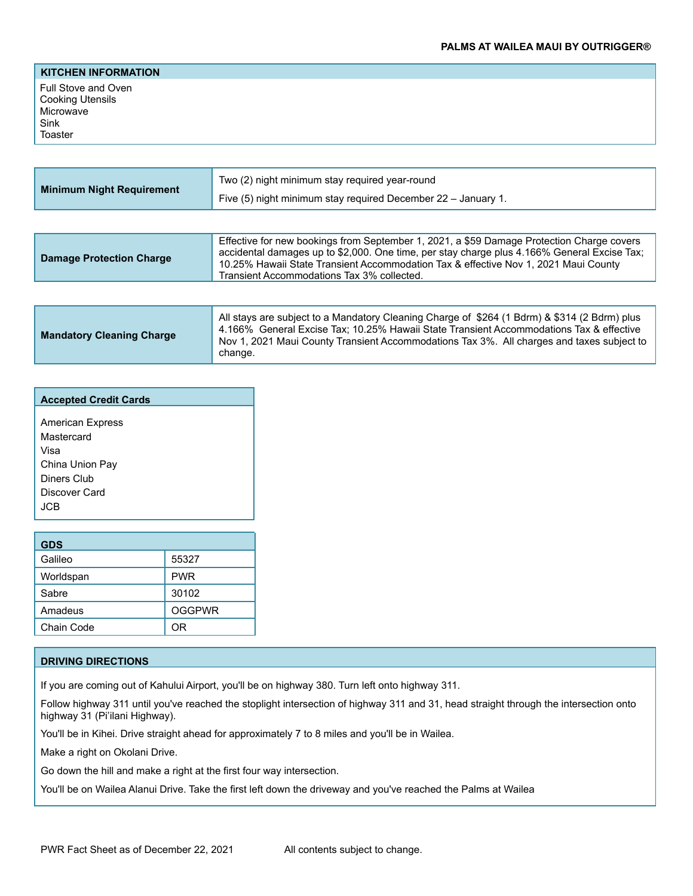### **KITCHEN INFORMATION**

Full Stove and Oven Cooking Utensils **Microwave** Sink Toaster

| <b>Minimum Night Requirement</b> | Two (2) night minimum stay required year-round<br>Five (5) night minimum stay required December 22 - January 1.                                                                                                                                                                                                               |
|----------------------------------|-------------------------------------------------------------------------------------------------------------------------------------------------------------------------------------------------------------------------------------------------------------------------------------------------------------------------------|
| <b>Damage Protection Charge</b>  | Effective for new bookings from September 1, 2021, a \$59 Damage Protection Charge covers<br>accidental damages up to \$2,000. One time, per stay charge plus 4.166% General Excise Tax;<br>10.25% Hawaii State Transient Accommodation Tax & effective Nov 1, 2021 Maui County<br>Transient Accommodations Tax 3% collected. |

| <b>Mandatory Cleaning Charge</b> | All stays are subject to a Mandatory Cleaning Charge of \$264 (1 Bdrm) & \$314 (2 Bdrm) plus<br>4.166% General Excise Tax; 10.25% Hawaii State Transient Accommodations Tax & effective<br>Nov 1, 2021 Maui County Transient Accommodations Tax 3%. All charges and taxes subject to<br>change. |
|----------------------------------|-------------------------------------------------------------------------------------------------------------------------------------------------------------------------------------------------------------------------------------------------------------------------------------------------|
|----------------------------------|-------------------------------------------------------------------------------------------------------------------------------------------------------------------------------------------------------------------------------------------------------------------------------------------------|

| <b>Accepted Credit Cards</b>                                                                             |
|----------------------------------------------------------------------------------------------------------|
| <b>American Express</b><br>Mastercard<br>Visa<br>China Union Pay<br>Diners Club<br>Discover Card<br>.ICB |

| <b>GDS</b> |               |
|------------|---------------|
| Galileo    | 55327         |
| Worldspan  | <b>PWR</b>    |
| Sabre      | 30102         |
| Amadeus    | <b>OGGPWR</b> |
| Chain Code | nR            |

# **DRIVING DIRECTIONS**

If you are coming out of Kahului Airport, you'll be on highway 380. Turn left onto highway 311.

Follow highway 311 until you've reached the stoplight intersection of highway 311 and 31, head straight through the intersection onto highway 31 (Pi'ilani Highway).

You'll be in Kihei. Drive straight ahead for approximately 7 to 8 miles and you'll be in Wailea.

Make a right on Okolani Drive.

Go down the hill and make a right at the first four way intersection.

You'll be on Wailea Alanui Drive. Take the first left down the driveway and you've reached the Palms at Wailea